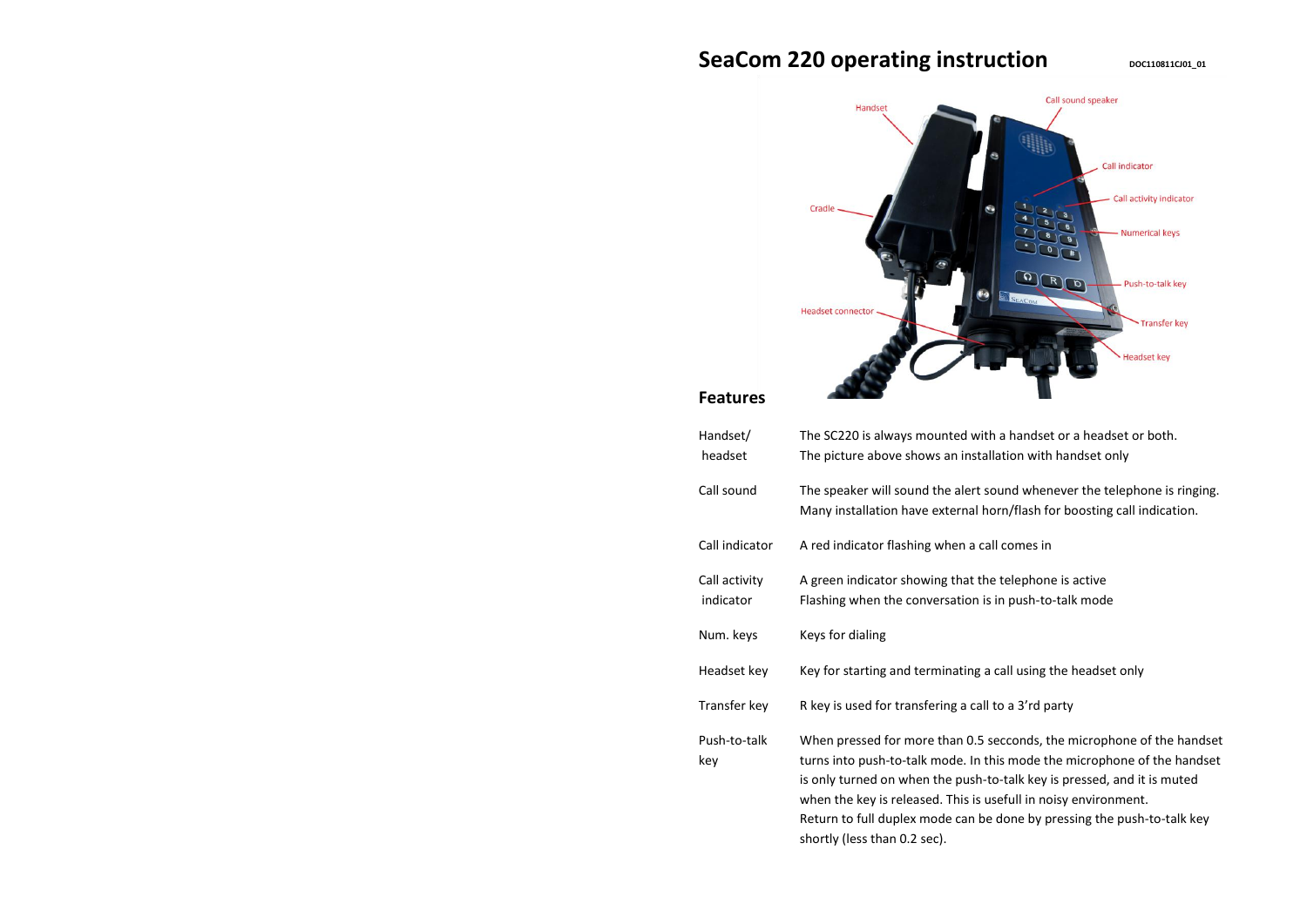# **SeaCom 220 operating instruction DECITION DOCITION**